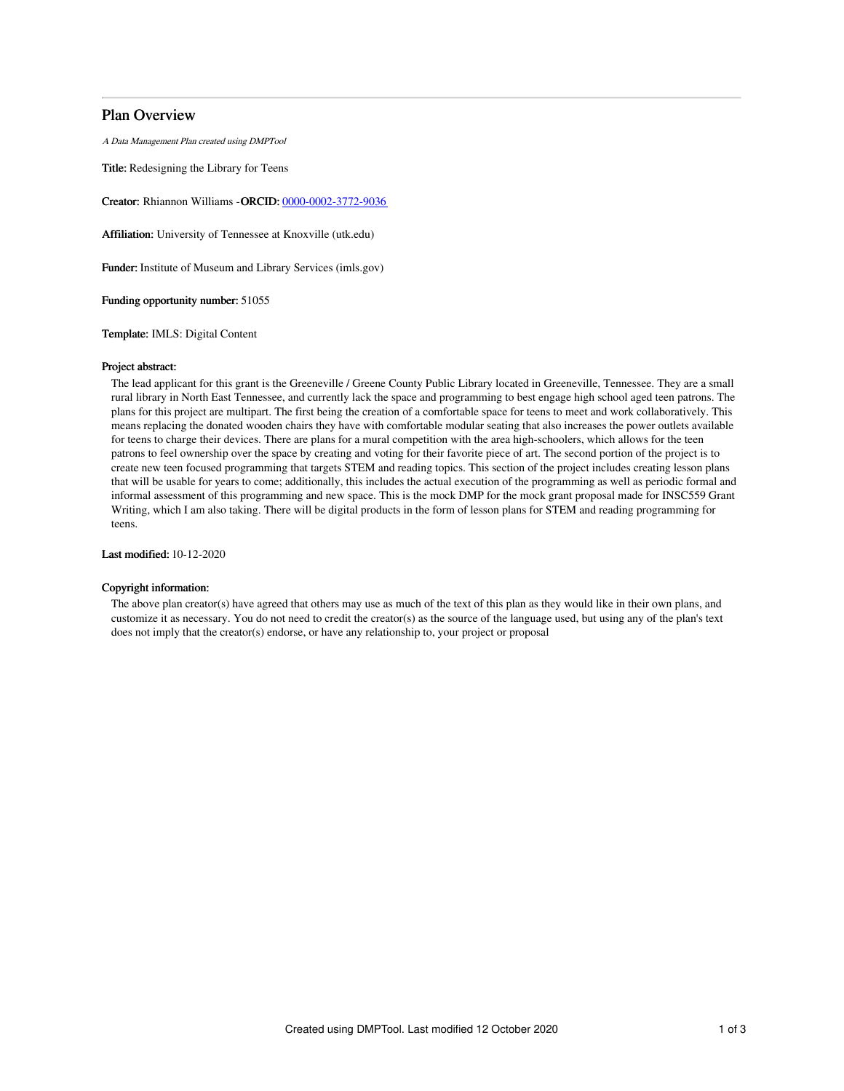# Plan Overview

A Data Management Plan created using DMPTool

Title: Redesigning the Library for Teens

Creator: Rhiannon Williams -ORCID: [0000-0002-3772-9036](https://orcid.org/0000-0002-3772-9036)

Affiliation: University of Tennessee at Knoxville (utk.edu)

Funder: Institute of Museum and Library Services (imls.gov)

Funding opportunity number: 51055

Template: IMLS: Digital Content

## Project abstract:

The lead applicant for this grant is the Greeneville / Greene County Public Library located in Greeneville, Tennessee. They are a small rural library in North East Tennessee, and currently lack the space and programming to best engage high school aged teen patrons. The plans for this project are multipart. The first being the creation of a comfortable space for teens to meet and work collaboratively. This means replacing the donated wooden chairs they have with comfortable modular seating that also increases the power outlets available for teens to charge their devices. There are plans for a mural competition with the area high-schoolers, which allows for the teen patrons to feel ownership over the space by creating and voting for their favorite piece of art. The second portion of the project is to create new teen focused programming that targets STEM and reading topics. This section of the project includes creating lesson plans that will be usable for years to come; additionally, this includes the actual execution of the programming as well as periodic formal and informal assessment of this programming and new space. This is the mock DMP for the mock grant proposal made for INSC559 Grant Writing, which I am also taking. There will be digital products in the form of lesson plans for STEM and reading programming for teens.

Last modified: 10-12-2020

# Copyright information:

The above plan creator(s) have agreed that others may use as much of the text of this plan as they would like in their own plans, and customize it as necessary. You do not need to credit the creator(s) as the source of the language used, but using any of the plan's text does not imply that the creator(s) endorse, or have any relationship to, your project or proposal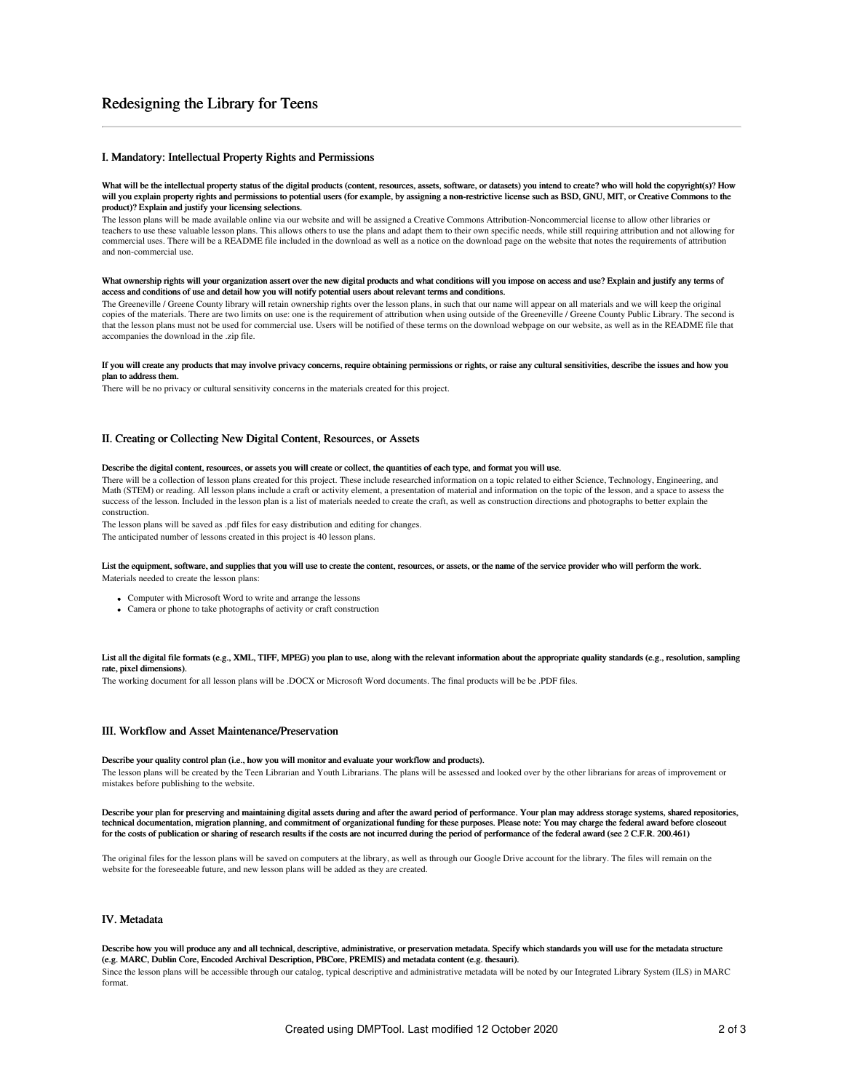# Redesigning the Library for Teens

# I. Mandatory: Intellectual Property Rights and Permissions

#### What will be the intellectual property status of the digital products (content, resources, assets, software, or datasets) you intend to create? who will hold the copyright(s)? How will you explain property rights and permissions to potential users (for example, by assigning a non-restrictive license such as BSD, GNU, MIT, or Creative Commons to the product)? Explain and justify your licensing selections.

The lesson plans will be made available online via our website and will be assigned a Creative Commons Attribution-Noncommercial license to allow other libraries or teachers to use these valuable lesson plans. This allows others to use the plans and adapt them to their own specific needs, while still requiring attribution and not allowing for commercial uses. There will be a README file included in the download as well as a notice on the download page on the website that notes the requirements of attribution and non-commercial use.

#### What ownership rights will your organization assert over the new digital products and what conditions will you impose on access and use? Explain and justify any terms of access and conditions of use and detail how you will notify potential users about relevant terms and conditions.

The Greeneville / Greene County library will retain ownership rights over the lesson plans, in such that our name will appear on all materials and we will keep the original copies of the materials. There are two limits on use: one is the requirement of attribution when using outside of the Greeneville / Greene County Public Library. The second is that the lesson plans must not be used for commercial use. Users will be notified of these terms on the download webpage on our website, as well as in the README file that accompanies the download in the .zip file.

#### If you will create any products that may involve privacy concerns, require obtaining permissions or rights, or raise any cultural sensitivities, describe the issues and how you plan to address them.

There will be no privacy or cultural sensitivity concerns in the materials created for this project.

# II. Creating or Collecting New Digital Content, Resources, or Assets

#### Describe the digital content, resources, or assets you will create or collect, the quantities of each type, and format you will use.

There will be a collection of lesson plans created for this project. These include researched information on a topic related to either Science, Technology, Engineering, and Math (STEM) or reading. All lesson plans include a craft or activity element, a presentation of material and information on the topic of the lesson, and a space to assess the success of the lesson. Included in the lesson plan is a list of materials needed to create the craft, as well as construction directions and photographs to better explain the construction.

The lesson plans will be saved as .pdf files for easy distribution and editing for changes.

The anticipated number of lessons created in this project is 40 lesson plans.

#### List the equipment, software, and supplies that you will use to create the content, resources, or assets, or the name of the service provider who will perform the work. Materials needed to create the lesson plans:

- Computer with Microsoft Word to write and arrange the lessons
- Camera or phone to take photographs of activity or craft construction

### List all the digital file formats (e.g., XML, TIFF, MPEG) you plan to use, along with the relevant information about the appropriate quality standards (e.g., resolution, sampling rate, pixel dimensions).

The working document for all lesson plans will be .DOCX or Microsoft Word documents. The final products will be be .PDF files.

# III. Workflow and Asset Maintenance/Preservation

#### Describe your quality control plan (i.e., how you will monitor and evaluate your workflow and products).

The lesson plans will be created by the Teen Librarian and Youth Librarians. The plans will be assessed and looked over by the other librarians for areas of improvement or mistakes before publishing to the website.

Describe your plan for preserving and maintaining digital assets during and after the award period of performance. Your plan may address storage systems, shared repositories, technical documentation, migration planning, and commitment of organizational funding for these purposes. Please note: You may charge the federal award before closeout<br>for the costs of publication or sharing of research re

The original files for the lesson plans will be saved on computers at the library, as well as through our Google Drive account for the library. The files will remain on the website for the foreseeable future, and new lesson plans will be added as they are created.

### IV. Metadata

#### Describe how you will produce any and all technical, descriptive, administrative, or preservation metadata. Specify which standards you will use for the metadata structure (e.g. MARC, Dublin Core, Encoded Archival Description, PBCore, PREMIS) and metadata content (e.g. thesauri).

Since the lesson plans will be accessible through our catalog, typical descriptive and administrative metadata will be noted by our Integrated Library System (ILS) in MARC format.